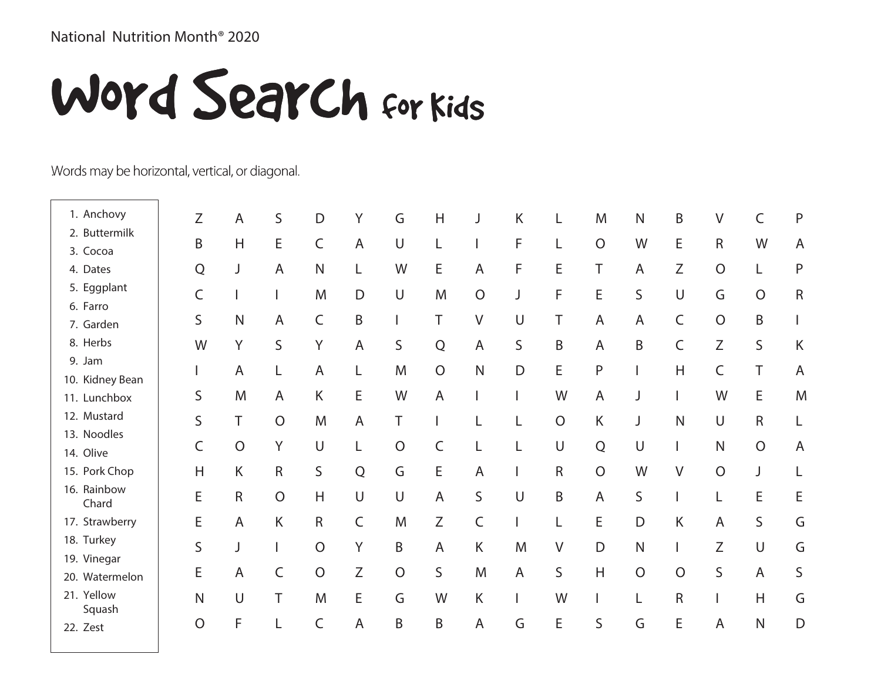## National Nutrition Month® 2020

## Word Search for Kids

## Words may be horizontal, vertical, or diagonal.

| 1. Anchovy           | Ζ              | A              | S              | D              | Υ              | G              | H              | J              | Κ      | L              | M              | $\mathsf{N}$   | B              | $\vee$         | C              | ${\sf P}$      |
|----------------------|----------------|----------------|----------------|----------------|----------------|----------------|----------------|----------------|--------|----------------|----------------|----------------|----------------|----------------|----------------|----------------|
| 2. Buttermilk        | B              | H              | E              | $\mathsf C$    | $\overline{A}$ | $\cup$         | L              |                | F      |                | $\overline{O}$ | W              | E              | $\mathsf R$    | W              | $\overline{A}$ |
| 3. Cocoa             |                |                |                |                |                |                |                |                |        |                |                |                |                |                |                |                |
| 4. Dates             | Q              | J              | A              | $\mathsf{N}$   |                | W              | E              | A              | F      | E              | T              | A              | Ζ              | $\mathcal{O}$  |                | $\mathsf{P}$   |
| 5. Eggplant          | C              |                |                | M              | D              | U              | M              | $\overline{O}$ |        | F              | E              | S              | $\cup$         | G              | $\circ$        | ${\sf R}$      |
| 6. Farro             |                |                |                |                |                |                |                |                |        |                |                |                |                |                |                |                |
| 7. Garden            | S              | $\mathsf{N}$   | A              | $\mathsf C$    | B              |                | T              | $\vee$         | $\cup$ | T              | $\mathsf{A}$   | A              | $\mathsf C$    | $\overline{O}$ | B              |                |
| 8. Herbs             | W              | Y              | S              | Y              | $\overline{A}$ | S              | $\mathsf Q$    | $\overline{A}$ | S      | B              | $\overline{A}$ | B              | C              | $\mathsf Z$    | S              | Κ              |
| 9. Jam               |                | A              | L              | A              | L              | M              | $\mathcal{O}$  | $\mathsf{N}$   | D      | E              | $\mathsf{P}$   |                | H              | $\mathsf C$    | T              | $\overline{A}$ |
| 10. Kidney Bean      |                |                |                |                |                |                |                |                |        |                |                |                |                |                |                |                |
| 11. Lunchbox         | S              | M              | A              | K              | E              | W              | $\mathsf A$    |                |        | W              | $\mathsf{A}$   | J              |                | W              | E              | M              |
| 12. Mustard          | S              | T              | $\overline{O}$ | M              | $\overline{A}$ | T              |                |                |        | $\overline{O}$ | K              | J              | $\mathsf{N}$   | $\cup$         | $\mathsf R$    |                |
| 13. Noodles          |                |                | Y              |                |                |                |                |                |        |                |                |                |                |                |                |                |
| 14. Olive            | C              | $\overline{O}$ |                | U              |                | $\overline{O}$ | C              |                |        | $\cup$         | $\mathsf Q$    | $\cup$         |                | $\mathsf{N}$   | $\overline{O}$ | $\overline{A}$ |
| 15. Pork Chop        | H              | K              | $\mathsf R$    | S              | Q              | G              | E              | A              |        | $\mathsf R$    | $\overline{O}$ | W              | $\vee$         | $\overline{O}$ | J              |                |
| 16. Rainbow<br>Chard | E              | $\mathsf R$    | $\mathcal{O}$  | H              | $\cup$         | $\cup$         | $\mathsf{A}$   | S              | $\cup$ | B              | $\overline{A}$ | S              |                |                | E              | E              |
| 17. Strawberry       | E              | A              | K              | $\mathsf R$    | $\mathsf C$    | M              | Ζ              | C              |        |                | E              | D              | Κ              | $\overline{A}$ | $\mathsf{S}$   | G              |
| 18. Turkey           | S              |                |                | $\overline{O}$ | Y              | B              | $\overline{A}$ | K              | M      | V              | D              | $\mathsf{N}$   |                | Z              | $\cup$         | G              |
| 19. Vinegar          |                |                |                |                |                |                |                |                |        |                |                |                |                |                |                |                |
| 20. Watermelon       | E              | A              | C              | $\overline{O}$ | Z              | $\bigcirc$     | S              | M              | A      | S              | H              | $\overline{O}$ | $\overline{O}$ | S              | $\mathsf{A}$   | S              |
| 21. Yellow<br>Squash | $\mathsf{N}$   | $\sf U$        | T              | M              | E              | G              | W              | K              |        | W              |                |                | $\mathsf{R}$   |                | H              | G              |
| 22. Zest             | $\overline{O}$ | F              |                | C              | A              | B              | B              | $\mathsf A$    | G      | E              | $\mathsf S$    | G              | E              | $\overline{A}$ | $\overline{N}$ | D              |